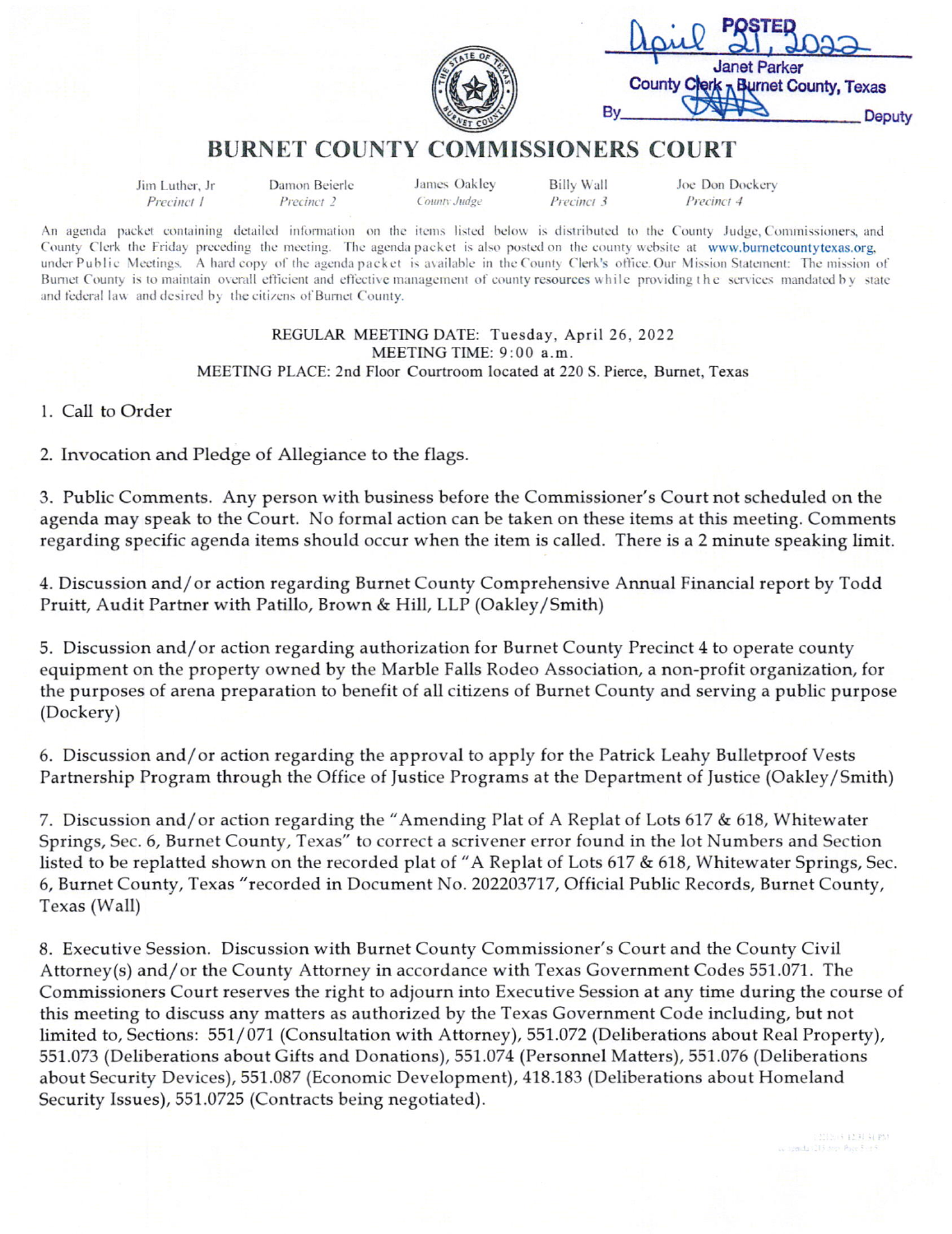| コフフ                                                        |        |
|------------------------------------------------------------|--------|
| <b>Janet Parker</b><br>County Clerk R Burnet County, Texas |        |
|                                                            | Deputy |

## **BURNET COUNTY COMMISSIONERS COURT**

Jim Luther, Jr Precinct 1

Damon Beierle Precinct 2

James Oakley County Judge

**Billy Wall** Precinct 3 Joe Don Dockery Precinct 4

An agenda packet containing detailed information on the items listed below is distributed to the County Judge, Commissioners, and County Clerk the Friday preceding the meeting. The agenda packet is also posted on the county website at www.burnetcountytexas.org, under Public Meetings. A hard copy of the agenda packet is available in the County Clerk's office. Our Mission Statement: The mission of Burnet County is to maintain overall efficient and effective management of county resources while providing the services mandated by state and federal law and desired by the citizens of Burnet County.

## REGULAR MEETING DATE: Tuesday, April 26, 2022 MEETING TIME: 9:00 a.m.

MEETING PLACE: 2nd Floor Courtroom located at 220 S. Pierce, Burnet, Texas

1. Call to Order

2. Invocation and Pledge of Allegiance to the flags.

3. Public Comments. Any person with business before the Commissioner's Court not scheduled on the agenda may speak to the Court. No formal action can be taken on these items at this meeting. Comments regarding specific agenda items should occur when the item is called. There is a 2 minute speaking limit.

4. Discussion and/or action regarding Burnet County Comprehensive Annual Financial report by Todd Pruitt, Audit Partner with Patillo, Brown & Hill, LLP (Oakley/Smith)

5. Discussion and/or action regarding authorization for Burnet County Precinct 4 to operate county equipment on the property owned by the Marble Falls Rodeo Association, a non-profit organization, for the purposes of arena preparation to benefit of all citizens of Burnet County and serving a public purpose (Dockery)

6. Discussion and/or action regarding the approval to apply for the Patrick Leahy Bulletproof Vests Partnership Program through the Office of Justice Programs at the Department of Justice (Oakley/Smith)

7. Discussion and/or action regarding the "Amending Plat of A Replat of Lots 617 & 618, Whitewater Springs, Sec. 6, Burnet County, Texas" to correct a scrivener error found in the lot Numbers and Section listed to be replatted shown on the recorded plat of "A Replat of Lots 617 & 618, Whitewater Springs, Sec. 6, Burnet County, Texas "recorded in Document No. 202203717, Official Public Records, Burnet County, Texas (Wall)

8. Executive Session. Discussion with Burnet County Commissioner's Court and the County Civil Attorney(s) and/or the County Attorney in accordance with Texas Government Codes 551.071. The Commissioners Court reserves the right to adjourn into Executive Session at any time during the course of this meeting to discuss any matters as authorized by the Texas Government Code including, but not limited to, Sections: 551/071 (Consultation with Attorney), 551.072 (Deliberations about Real Property), 551.073 (Deliberations about Gifts and Donations), 551.074 (Personnel Matters), 551.076 (Deliberations about Security Devices), 551.087 (Economic Development), 418.183 (Deliberations about Homeland Security Issues), 551.0725 (Contracts being negotiated).

213/6 1231 31 PM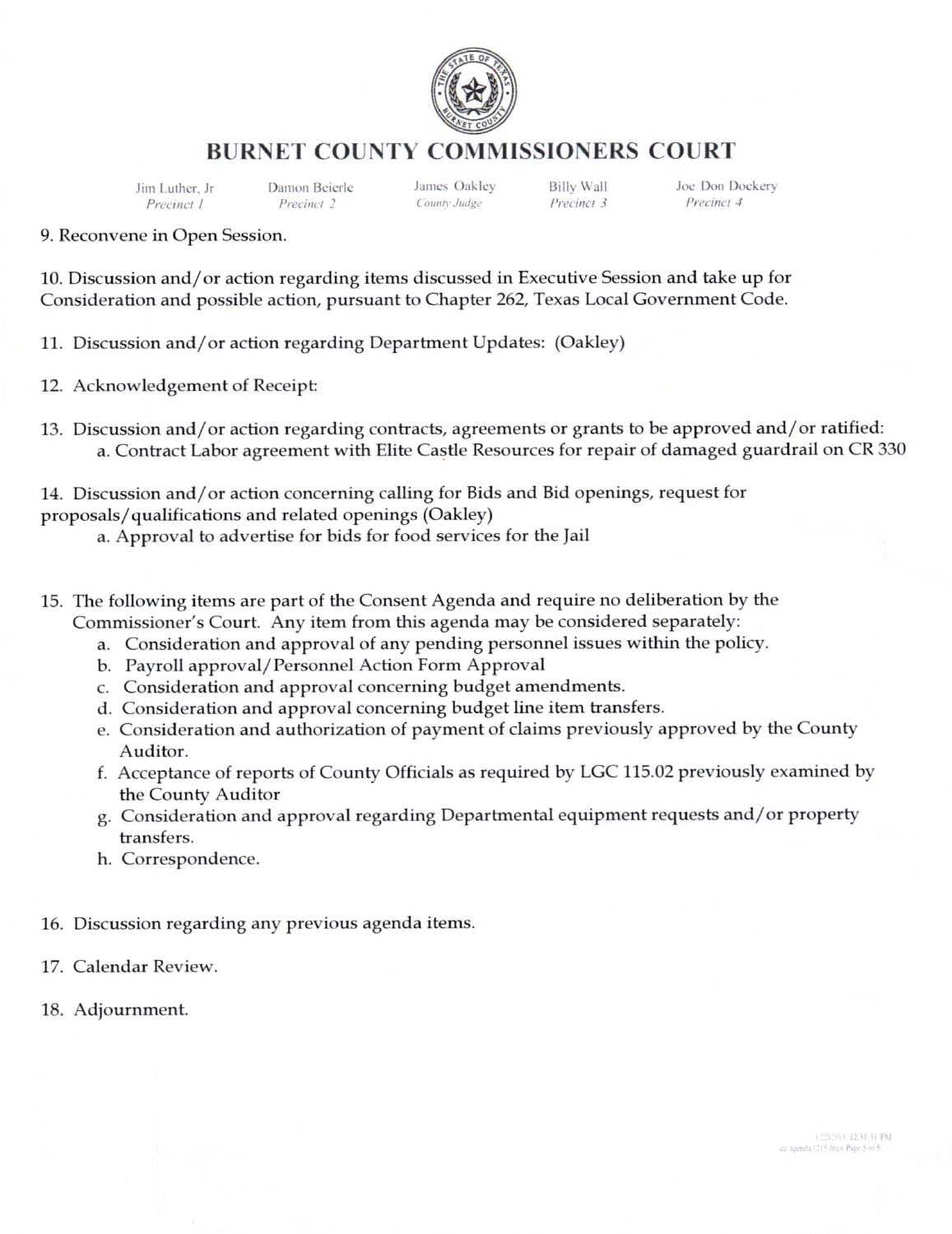

## BURNET COUNTY COMMISSIONERS COURT

Precinct 1

Jirn Luther. Jr Danon Beicrlc Billy Wall

Joe Don Dockery Precinct 4

9. Reconvene in Open Session.

10. Discussion and/or action regarding items discussed in Executive Session and take up for Consideration and possible action, pursuant to Chapter 262, Texas Local Government Code.

11. Discussion and/or action regarding Department Updates: (Oakley)

- 12. Acknowledgement of Receipt:
- 13. Discussion and/or action regarding contracts, agreements or grants to be approved and/or ratified: a. Contract Labor agreement with Elite Castle Resources for repair of damaged guardrail on CR 330

14. Discussion and/or action concerning calling for Bids and Bid openings, request for proposals/ qualifications and related openings (Oakley)

a. Approval to advertise for bids for food services for the Jail

- 15. The following items are part of the Consent Agenda and require no deliberation by the Commissioner's Court. Any item from this agenda may be considered separately:
	- a. Consideration and approval of any pending personnel issues within the policy.
	- b. Payroll approval/Personnel Action Form Approval
	- c. Consideration and approval concerning budget amendments.
	- d. Consideration and approval concerning budget line item transfers.
	- e. Consideration and authorization of payment of claims previously approved by the County Auditor.
	- f. Acceptance of reports of County Officials as required by LGC 115.02 previously examined by the County Auditor
	- g. Consideration and approval regarding Departmental equipment requests and/or property transfers.
	- h. Correspondence.

16. Discussion regarding any previous agenda items.

17. Calendar Review.

18. Adjournment.

12212015-12:31:31 PM cc agenda (2) 5 does Page 5 of 5